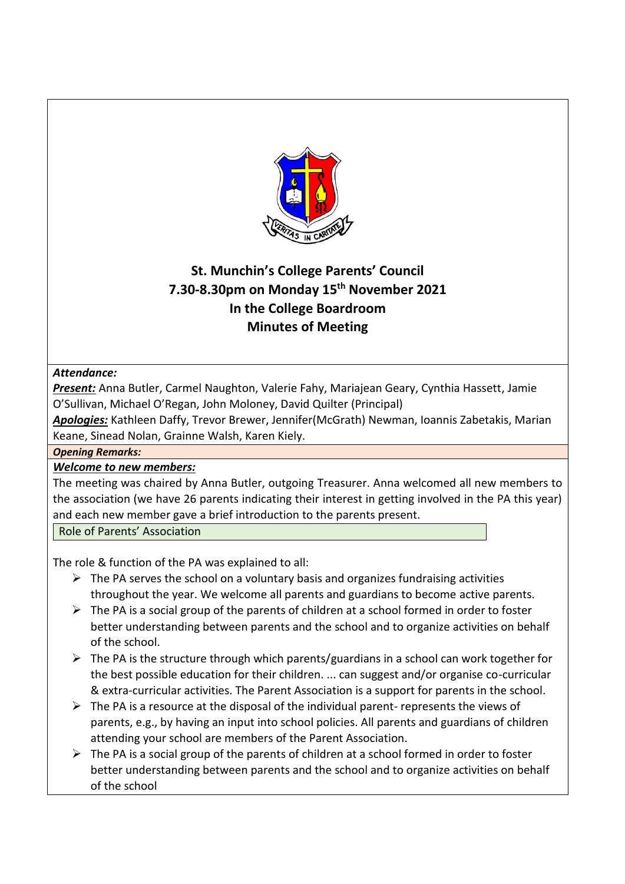

# **St. Munchin's College Parents' Council 7.30-8.30pm on Monday 15th November 2021 In the College Boardroom Minutes of Meeting**

# *Attendance:*

*Present:* Anna Butler, Carmel Naughton, Valerie Fahy, Mariajean Geary, Cynthia Hassett, Jamie O'Sullivan, Michael O'Regan, John Moloney, David Quilter (Principal)

*Apologies:* Kathleen Daffy, Trevor Brewer, Jennifer(McGrath) Newman, Ioannis Zabetakis, Marian Keane, Sinead Nolan, Grainne Walsh, Karen Kiely.

*Opening Remarks:* 

# *Welcome to new members:*

The meeting was chaired by Anna Butler, outgoing Treasurer. Anna welcomed all new members to the association (we have 26 parents indicating their interest in getting involved in the PA this year) and each new member gave a brief introduction to the parents present.

Role of Parents' Association

The role & function of the PA was explained to all:

- $\triangleright$  The PA serves the school on a voluntary basis and organizes fundraising activities throughout the year. We welcome all parents and guardians to become active parents.
- $\triangleright$  The PA is a social group of the parents of children at a school formed in order to foster better understanding between parents and the school and to organize activities on behalf of the school.
- $\triangleright$  The PA is the structure through which parents/guardians in a school can work together for the best possible education for their children. ... can suggest and/or organise co-curricular & extra-curricular activities. The Parent Association is a support for parents in the school.
- $\triangleright$  The PA is a resource at the disposal of the individual parent- represents the views of parents, e.g., by having an input into school policies. All parents and guardians of children attending your school are members of the Parent Association.
- $\triangleright$  The PA is a social group of the parents of children at a school formed in order to foster better understanding between parents and the school and to organize activities on behalf of the school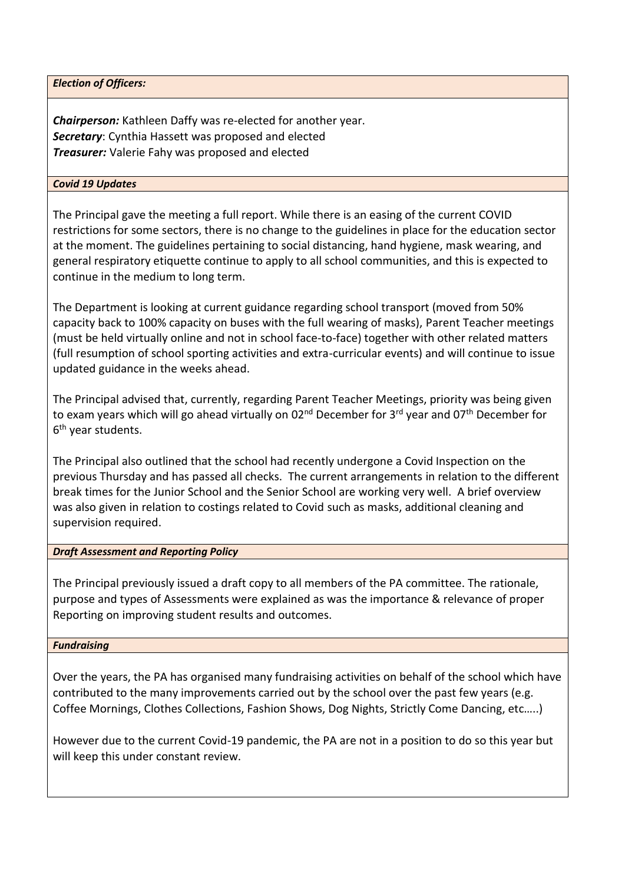*Election of Officers:*

*Chairperson:* Kathleen Daffy was re-elected for another year. *Secretary*: Cynthia Hassett was proposed and elected *Treasurer:* Valerie Fahy was proposed and elected

## *Covid 19 Updates*

The Principal gave the meeting a full report. While there is an easing of the current COVID restrictions for some sectors, there is no change to the guidelines in place for the education sector at the moment. The guidelines pertaining to social distancing, hand hygiene, mask wearing, and general respiratory etiquette continue to apply to all school communities, and this is expected to continue in the medium to long term.

The Department is looking at current guidance regarding school transport (moved from 50% capacity back to 100% capacity on buses with the full wearing of masks), Parent Teacher meetings (must be held virtually online and not in school face-to-face) together with other related matters (full resumption of school sporting activities and extra-curricular events) and will continue to issue updated guidance in the weeks ahead.

The Principal advised that, currently, regarding Parent Teacher Meetings, priority was being given to exam years which will go ahead virtually on 02<sup>nd</sup> December for 3<sup>rd</sup> year and 07<sup>th</sup> December for 6<sup>th</sup> year students.

The Principal also outlined that the school had recently undergone a Covid Inspection on the previous Thursday and has passed all checks. The current arrangements in relation to the different break times for the Junior School and the Senior School are working very well. A brief overview was also given in relation to costings related to Covid such as masks, additional cleaning and supervision required.

#### *Draft Assessment and Reporting Policy*

The Principal previously issued a draft copy to all members of the PA committee. The rationale, purpose and types of Assessments were explained as was the importance & relevance of proper Reporting on improving student results and outcomes.

#### *Fundraising*

Over the years, the PA has organised many fundraising activities on behalf of the school which have contributed to the many improvements carried out by the school over the past few years (e.g. Coffee Mornings, Clothes Collections, Fashion Shows, Dog Nights, Strictly Come Dancing, etc…..)

However due to the current Covid-19 pandemic, the PA are not in a position to do so this year but will keep this under constant review.